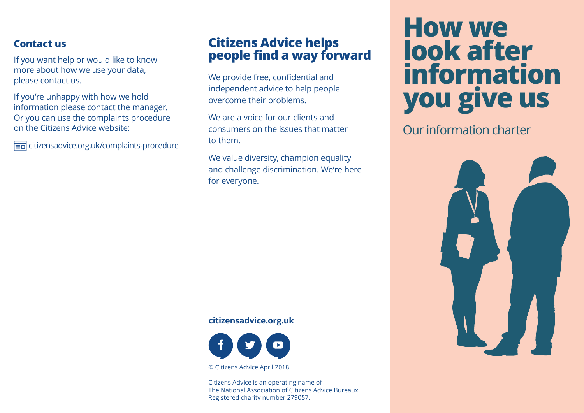### **Contact us**

If you want help or would like to know more about how we use your data, please contact us.

If you're unhappy with how we hold information please contact the manager. Or you can use the complaints procedure on the Citizens Advice website:

citizensadvice.org.uk/complaints-procedure

# **Citizens Advice helps people find a way forward**

We provide free, confidential and independent advice to help people overcome their problems.

We are a voice for our clients and consumers on the issues that matter to them.

We value diversity, champion equality and challenge discrimination. We're here for everyone.

# **How we look after information you give us**

Our information charter



#### **citizensadvice.org.uk**



© Citizens Advice April 2018

Citizens Advice is an operating name of The National Association of Citizens Advice Bureaux. Registered charity number 279057.